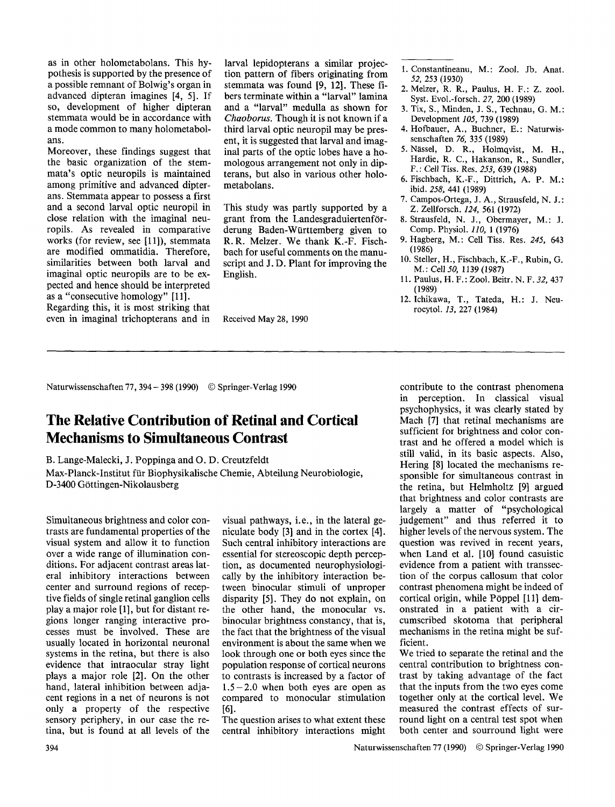as in other holometabolans. This hypothesis is supported by the presence of a possible remnant of Bolwig's organ in advanced dipteran imagines [4, 5]. If so, development of higher dipteran stemmata would be in accordance with a mode common to many holometabolans.

Moreover, these findings suggest that the basic organization of the stemmata's optic neuropils is maintained among primitive and advanced dipterans. Stemmata appear to possess a first and a second larval optic neuropil in close relation with the imaginal neuropils. As revealed in comparative works (for review, see [11]), stemmata are modified ommatidia. Therefore, similarities between both larval and imaginal optic neuropils are to be expected and hence should be interpreted as a "consecutive homology" [11].

Regarding this, it is most striking that even in imaginal trichopterans and in larval lepidopterans a similar projection pattern of fibers originating from stemmata was found [9, 12]. These fibers terminate within a "larval" lamina and a "larval" medulla as shown for *Chaoborus.* Though it is not known if a third larval optic neuropil may be present, it is suggested that larval and imaginal parts of the optic lobes have a homologous arrangement not only in dipterans, but also in various other holometabolans.

This study was partly supported by a grant from the Landesgraduiertenförderung Baden-Württemberg given to R.R. Melzer. We thank K.-F. Fischbach for useful comments on the manuscript and J. D. Plant for improving the English.

Received May 28, 1990

- i. Constantineanu, M.: Zool. Jb. Anat. *52,* 253 (1930)
- 2. Melzer, R. R., Paulus, H. F.: Z. zool. Syst. Evol.-forsch. 27, 200 (1989)
- 3. Tix, S., Minden, J. S., Technau, G. M. : Development *105,* 739 (1989)
- 4. Hofbauer, A., Buchner, E.: Naturwissenschaften *76,* 335 (1989)
- 5. Nässel, D. R., Holmqvist, M. H., Hardie, R. C., Hakanson, R., Sundler, F.: Cell *Tiss.* Res. *253, 639* (1988)
- 6. Fischbach, K.-F., Dittrich, A. P. M.: ibid. *258,* 441 (1989)
- 7. Campos-Ortega, J. A., Strausfeld, N. J.: Z. Zellforsch. *124,* 561 (1972)
- 8. Strausfeld, N. J., Obermayer, M.: J. Comp. Physiol. *110,* 1 (1976)
- 9. Hagberg, M." Cell Tiss. Res. *245,* 643 (1986)
- 10. Steller, H., Fischbach, K.-F., Rubin, G. M.: Cell *50,* 1139 (1987)
- 11. Paulus, H. F. : Zool. Beitr. N. F. *32,* 437 (1989)
- 12. Ichikawa, T., Tateda, H.: J. Neurocytol. *13,* 227 (1984)

Naturwissenschaften 77,394- 398 (1990) © Springer-Verlag 1990

## **The Relative Contribution of Retinal and Cortical Mechanisms to Simultaneous Contrast**

B. Lange-Malecki, J. Poppinga and O. D. Creutzfeldt

Max-Planck-Institut für Biophysikalische Chemie, Abteilung Neurobiologie, D-3400 G6ttingen-Nikolausberg

Simultaneous brightness and color contrasts are fundamental properties of the visual system and allow it to function over a wide range of illumination conditions. For adjacent contrast areas lateral inhibitory interactions between center and surround regions of receptive fields of single retinal ganglion cells play a major role [1], but for distant regions longer ranging interactive processes must be involved. These are usually located in horizontal neuronal systems in the retina, but there is also evidence that intraocular stray light plays a major role [2]. On the other hand, lateral inhibition between adjacent regions in a net of neurons is not only a property of the respective sensory periphery, in our case the retina, but is found at all levels of the

visual pathways, i.e., in the lateral geniculate body [3] and in the cortex [4]. Such central inhibitory interactions are essential for stereoscopic depth perception, as documented neurophysiologically by the inhibitory interaction between binocular stimuli of unproper disparity [5]. They do not explain, on the other hand, the monocular vs. binocular brightness constancy, that is, the fact that the brightness of the visual environment is about the same when we look through one or both eyes since the population response of cortical neurons to contrasts is increased by a factor of  $1.5-2.0$  when both eyes are open as compared to monocular stimulation [61.

The question arises to what extent these central inhibitory interactions might

contribute to the contrast phenomena in perception. In classical visual psychophysics, it was clearly stated by Mach [7] that retinal mechanisms are sufficient for brightness and color contrast and he offered a model which is still valid, in its basic aspects. Also, Hering [8] located the mechanisms responsible for simultaneous contrast in the retina, but Helmholtz [9] argued that brightness and color contrasts are largely a matter of "psychological judgement" and thus referred it to higher levels of the nervous system. The question was revived in recent years, when Land et al. [10] found casuistic evidence from a patient with transsection of the corpus callosum that color contrast phenomena might be indeed of cortical origin, while Pöppel [11] demonstrated in a patient with a circumscribed skotoma that peripheral mechanisms in the retina might be sufficient.

We tried to separate the retinal and the central contribution to brightness contrast by taking advantage of the fact that the inputs from the two eyes come together only at the cortical level. We measured the contrast effects of surround light on a central test spot when both center and sourround light were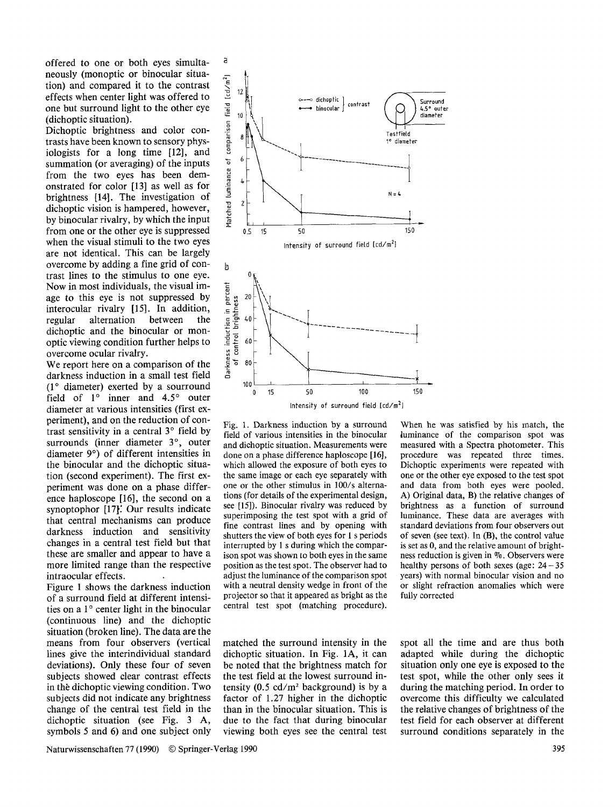offered to one or both eyes simultaneously (monoptic or binocular situation) and compared it to the contrast effects when center light was offered to one but surround light to the other eye (dichoptic situation).

a

Dichoptic brightness and color contrasts have been known to sensory physiologists for a long time [12], and summation (or averaging) of the inputs from the two eyes has been demonstrated for color [13] as well as for brightness [14]. The investigation of dichoptic vision is hampered, however, by binocular rivalry, by which the input from one or the other eye is suppressed when the visual stimuli to the two eyes are not identical. This can be largely overcome by adding a fine grid of contrast lines to the stimulus to one eye. Now in most individuals, the visual image to this eye is not suppressed by interocular rivalry [15]. In addition, regular alternation between the dichoptic and the binocular or monoptic viewing condition further helps to overcome ocular rivalry.

We report here on a comparison of the darkness induction in a small test field  $(1^{\circ}$  diameter) exerted by a sourround field of  $1^\circ$  inner and  $4.5^\circ$  outer diameter at various intensities (first experiment), and on the reduction of contrast sensitivity in a central  $3^\circ$  field by surrounds (inner diameter 3°, outer diameter 9°) of different intensities in the binocular and the dichoptic situation (second experiment). The first experiment was done on a phase difference haploscope [16], the second on a synoptophor [17]. Our results indicate that central mechanisms can produce darkness induction and sensitivity changes in a central test field but that these are smaller and appear to have a more limited range than the respective intraocular effects.

Figure 1 shows the darkness induction of a surround field at different intensities on a 1° center light in the binocular (continuous line) and the dichoptic situation (broken line). The data are the means from four observers (vertical lines give the interindividual standard deviations). Only these four of seven subjects showed clear contrast effects in the dichoptic viewing condition. Two subjects did not indicate any brightness change of the central test field in the dichoptic situation (see Fig. 3 A, symbols 5 and 6) and one subject only





Fig. 1. Darkness induction by a surround field of various intensities in the binocular and dichoptic situation. Measurements were done on a phase difference haploscope [16], which allowed the exposure of both eyes to the same image or each eye separately with one or the other stimulus in 100/s alternations (for details of the experimental design,

When he was satisfied by his match, the luminance of the comparison spot was measured with a Spectra photometer. This procedure was repeated three times. Dichoptic experiments were repeated with one or the other eye exposed to the test spot and data from both eyes were pooled. A) Original data, B) the relative changes of brightness as a function of surround luminance. These data are averages with standard deviations from four observers out of seven (see text). In (B), the control value is set as 0, and the relative amount of brightness reduction is given in %. Observers were healthy persons of both sexes (age:  $24-35$ ) years) with normal binocular vision and no or slight refraction anomalies which were fully corrected

spot all the time and are thus both adapted while during the dichoptic situation only one eye is exposed to the test spot, while the other only sees it during the matching period. In order to overcome this difficulty we calculated the relative changes of brightness of the test field for each observer at different surround conditions separately in the



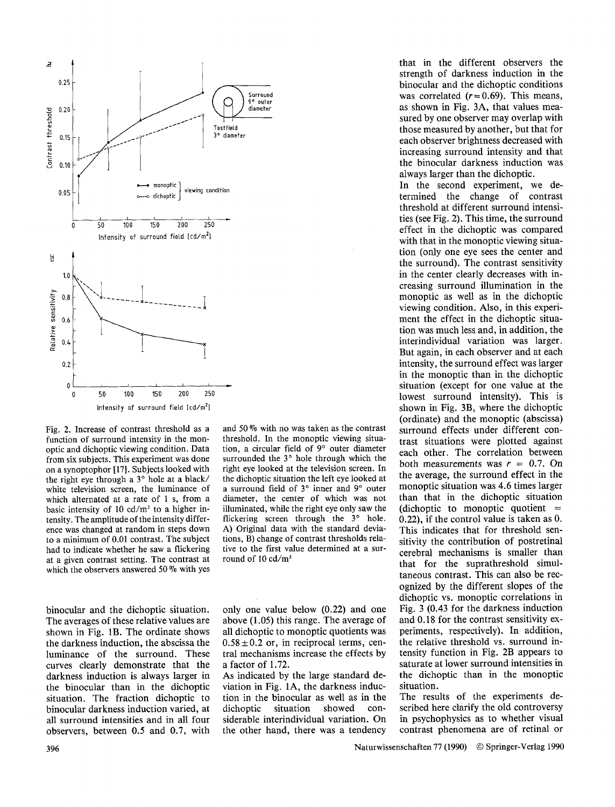

Fig. 2. Increase of contrast threshold as a function of surround intensity in the monoptic and dichoptic viewing condition. Data from six subjects. This experiment was done on a synoptophor [17]. Subjects looked with the right eye through a 3° hole at a black/ white television screen, the luminance of which alternated at a rate of 1 s, from a basic intensity of 10  $cd/m<sup>2</sup>$  to a higher intensity. The amplitude of the intensity difference was changed at random in steps down to a minimum of 0.01 contrast. The subject had to indicate whether he saw a flickering at a given contrast setting. The contrast at which the observers answered 50 % with yes

binocular and the dichoptic situation. The averages of these relative values are shown in Fig. lB. The ordinate shows the darkness induction, the abscissa the luminance of the surround. These curves clearly demonstrate that the darkness induction is always larger in the binocular than in the dichoptic situation. The fraction dichoptic to binocular darkness induction varied, at all surround intensities and in all four observers, between 0.5 and 0.7, with

and 50 % with no was taken as the contrast threshold. In the monoptic viewing situation, a circular field of 9° outer diameter surrounded the  $3^\circ$  hole through which the right eye looked at the television screen. In the dichoptic situation the left eye looked at a surround field of 3° inner and 9° outer diameter, the center of which was not illuminated, while the right eye only saw the flickering screen through the  $3^\circ$  hole. A) Original data with the standard deviations, B) change of contrast thresholds relative to the first value determined at a surround of 10  $cd/m<sup>2</sup>$ 

only one value below (0.22) and one above (1.05) this range. The average of all dichoptic to monoptic quotients was  $0.58 \pm 0.2$  or, in reciprocal terms, central mechanisms increase the effects by a factor of 1.72.

As indicated by the large standard deviation in Fig. 1A, the darkness induction in the binocular as well as in the dichoptic situation showed considerable interindividual variation. On the other hand, there was a tendency

that in the different observers the strength of darkness induction in the binocular and the dichoptic conditions was correlated  $(r=0.69)$ . This means, as shown in Fig. 3A, that values measured by one observer may overlap with those measured by another, but that for each observer brightness decreased with increasing surround intensity and that the binocular darkness induction was always larger than the dichoptic.

In the second experiment, we determined the change of contrast threshold at different surround intensities (see Fig. 2). This time, the surround effect in the dichoptic was compared with that in the monoptic viewing situation (only one eye sees the center and the surround). The contrast sensitivity in the center clearly decreases with increasing surround illumination in the monoptic as well as in the dichoptic viewing condition. Also, in this experiment the effect in the dichoptic situation was much less and, in addition, the interindividual variation was larger. But again, in each observer and at each intensity, the surround effect was larger in the monoptic than in the dichoptic situation (except for one value at the lowest surround intensity). This is shown in Fig. 3B, where the dichoptic (ordinate) and the monoptic (abscissa) surround effects under different contrast situations were plotted against each other. The correlation between both measurements was  $r = 0.7$ . On the average, the surround effect in the monoptic situation was 4.6 times larger than that in the dichoptic situation (dichoptic to monoptic quotient  $=$ 0.22), if the control value is taken as 0. This indicates that for threshold sensitivity the contribution of postretinal cerebral mechanisms is smaller than that for the suprathreshold simultaneous contrast. This can also be recognized by the different slopes of the dichoptic vs. monoptic correlations in Fig. 3 (0.43 for the darkness induction and 0.18 for the contrast sensitivity experiments, respectively). In addition, the relative threshold vs. surround intensity function in Fig. 2B appears to saturate at lower surround intensities in the dichoptic than in the monoptic situation.

The results of the experiments described here clarify the old controversy in psychophysics as to whether visual contrast phenomena are of retinal or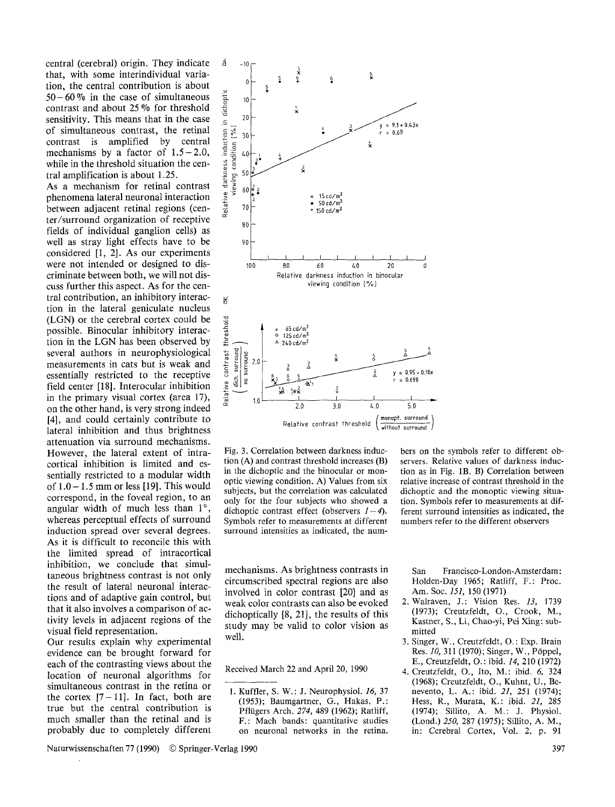central (cerebral) origin. They indicate  $\phi$  -10 that, with some interindividual variation, the central contribution is about<br>50–60% in the case of simultaneous<br>contrast and about 25% for threshold 50-60% in the case of simultaneous  $\frac{1}{6}$  10 contrast and about 25 % for threshold sensitivity. This means that in the case<br>of simultaneous contrast, the retinal<br>contrast is amplified by central<br>mechanisms by a factor of  $1.5-2.0$ ,<br>while in the threshold situation the cen-<br> $\frac{36}{9}$   $\frac{5}{6}$ of simultaneous contrast, the retinal  $\frac{2}{5}$   $\frac{8}{30}$ contrast is amplified by central mechanisms by a factor of 1.5-2.0,  $\frac{12}{3}$  40<br>while in the threshold situation the cen-<br>tral amplification is about 1.25.<br>As a mechanism for retinal contrast  $\frac{12}{3}$   $\frac{12}{3}$ while in the threshold situation the central amplification is about 1.25.  $\frac{1}{7}$   $\frac{1}{2}$  s<sup>50</sup>

As a mechanism for retinal contrast  $\frac{4}{5}$   $\frac{3}{5}$   $\frac{60}{5}$  phenomena lateral neuronal interaction<br>between adjacent retinal regions (cen- $\frac{2}{5}$   $\frac{60}{5}$   $\frac{1}{2}$ phenomena lateral neuronal interaction between adjacent retinal regions (cen- $\frac{1}{60}$  70 ter/surround organization of receptive  $\alpha$ <sub>80</sub> fields of individual ganglion cells) as well as stray light effects have to be 90 considered [1, 2]. As our experiments were not intended or designed to discriminate between both, we will not discuss further this aspect. As for the central contribution, an inhibitory interaction in the lateral geniculate nucleus (LGN) or the cerebral cortex could be (LGN) or the cerebral cortex could be possible. Binocular inhibitory interac-<br>tion in the LGN has been observed by tion in the LGN has been observed by  $\frac{2}{3}$  several authors in neurophysiological measurements in cats but is weak and essentially restricted to the receptive field center [18]. Interocular inhibition  $\frac{3}{5}$ several authors in neurophysiological  $\begin{bmatrix} 1 \\ 2 \\ 3 \\ 4 \end{bmatrix}$  reasurements in cats but is weak and essentially restricted to the receptive measurements in cats but is weak and  $\begin{bmatrix} 2 & 2 \\ 1 & 2 \end{bmatrix}$  2.0 essentially restricted to the receptive<br>field center [18]. Interocular inhibition<br>in the primary visual cortex (area 17), field center  $[18]$ . Interocular inhibition in the primary visual cortex (area 17),  $\frac{10}{9}$   $\frac{10}{10}$ on the other hand, is very strong indeed [4], and could certainly contribute to lateral inhibition and thus brightness attenuation via surround mechanisms. However, the lateral extent of intracortical inhibition is limited and essentially restricted to a modular width of  $1.0 - 1.5$  mm or less [19]. This would correspond, in the foveal region, to an angular width of much less than  $1^\circ$ , whereas perceptual effects of surround induction spread over several degrees. As it is difficult to reconcile this with the limited spread of intracortical inhibition, we conclude that simultaneous brightness contrast is not only the result of lateral neuronal interactions and of adaptive gain control, but that it also involves a comparison of activity levels in adjacent regions of the visual field representation.

Our results explain why experimental evidence can be brought forward for each of the contrasting views about the location of neuronal algorithms for simultaneous contrast in the retina or the cortex  $[7-11]$ . In fact, both are true but the central contribution is much smaller than the retinal and is probably due to completely different



Fig. 3. Correlation between darkness induction (A) and contrast threshold increases (B) in the dichoptic and the binocular or monoptic viewing condition. A) Values from six subjects, but the correlation was calculated only for the four subjects who showed a dichoptic contrast effect (observers  $1-4$ ). Symbols refer to measurements at different surround intensities as indicated, the num-

mechanisms. As brightness contrasts in circumscribed spectral regions are also involved in color contrast [20] and as weak color contrasts can also be evoked dichoptically [8, 21], the results of this study may be valid to color vision as well.

Received March 22 and April 20, 1990

bers on the symbols refer to different observers. Relative values of darkness induction as in Fig. lB. B) Correlation between relative increase of contrast threshold in the dichoptic and the monoptic viewing situation. Symbols refer to measurements at different surround intensities as indicated, the numbers refer to the different observers

San Francisco-London-Amsterdam: Holden-Day 1965; Ratliff, F.: Proc. Am. Soc. *151,* 150 (1971)

- 2. Walraven, J.: Vision Res. *13,* 1739 (1973); Creutzfeldt, O., Crook, M., Kastner, S., Li, Chao-yi, Pei Xing: submitted
- 3. Singer, W., Creutzfeldt, O. : Exp. Brain Res. *10*, 311 (1970); Singer, W., Pöppel, E., Creutzfeldt, O. : ibid. *14,* 210 (1972)
- 4. Creutzfeldt, O., Ito, M.: ibid. 6, 324 (1968); Creutzfeldt, O., Kuhnt, U., Benevento, L. A.: ibid. *21,* 251 (1974); Hess, R., Murata, K.: ibid. *21,* 285 (1974); Sillito, A. M.: J. Physiol. (Lond.) *250,* 287 (1975); Sillito, A. M., in: Cerebral Cortex, Vol. 2, p. 91

Naturwissenschaften 77 (1990) © Springer-Verlag 1990 397

<sup>1.</sup> Kuffler, S. W.: J. Neurophysiol. *16,* 37 (1953); Baumgartner, G., Hakas, P.: Pflügers Arch. 274, 489 (1962); Ratliff, F.: Mach bands: quantitative studies on neuronal networks in the retina.